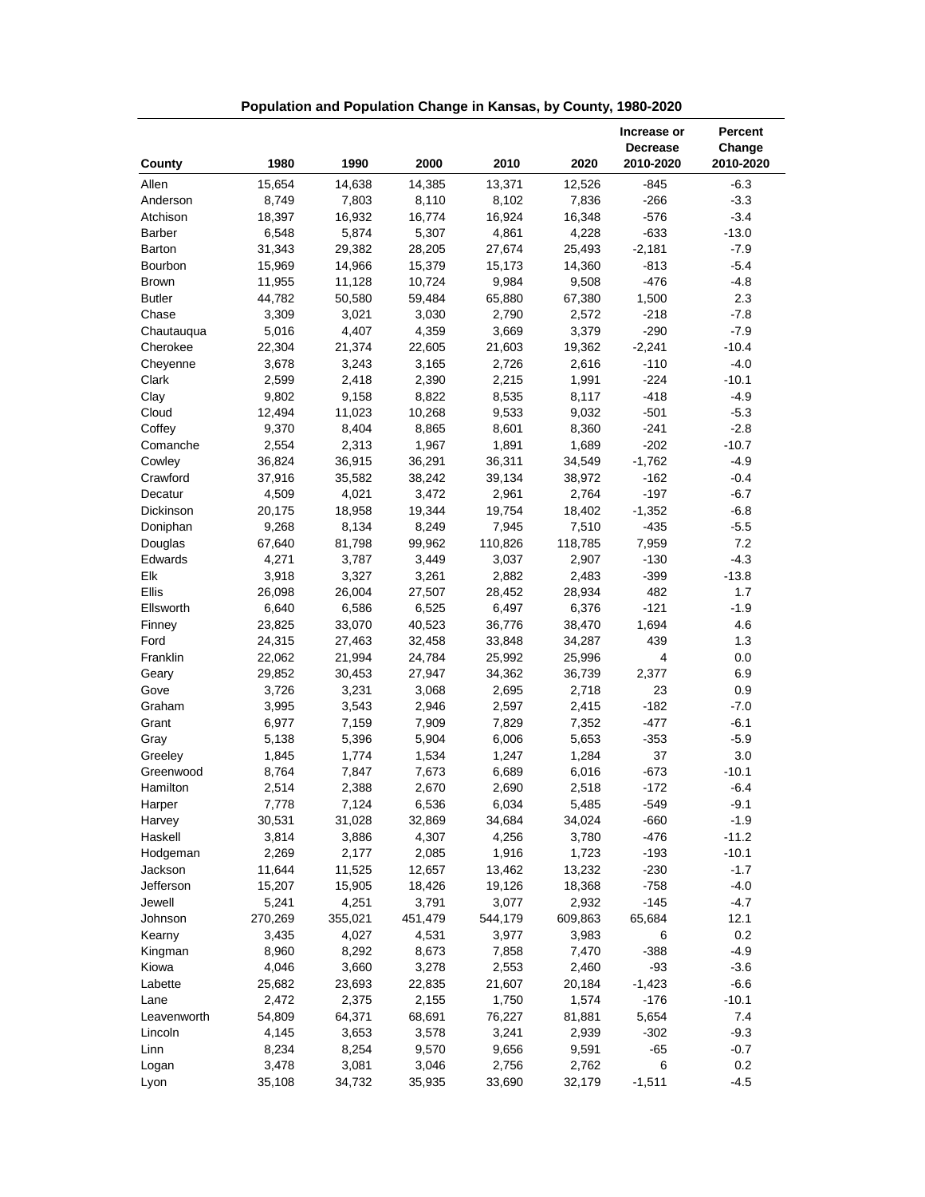|               |         |         |         |         |         | Increase or<br><b>Decrease</b> | Percent<br>Change |
|---------------|---------|---------|---------|---------|---------|--------------------------------|-------------------|
| County        | 1980    | 1990    | 2000    | 2010    | 2020    | 2010-2020                      | 2010-2020         |
| Allen         | 15,654  | 14,638  | 14,385  | 13,371  | 12,526  | $-845$                         | $-6.3$            |
| Anderson      | 8,749   | 7,803   | 8,110   | 8,102   | 7,836   | $-266$                         | $-3.3$            |
| Atchison      | 18,397  | 16,932  | 16,774  | 16,924  | 16,348  | $-576$                         | $-3.4$            |
| <b>Barber</b> | 6,548   | 5,874   | 5,307   | 4,861   | 4,228   | $-633$                         | $-13.0$           |
| Barton        | 31,343  | 29,382  | 28,205  | 27,674  | 25,493  | $-2,181$                       | $-7.9$            |
| Bourbon       | 15,969  | 14,966  | 15,379  | 15,173  | 14,360  | $-813$                         | $-5.4$            |
| <b>Brown</b>  | 11,955  | 11,128  | 10,724  | 9,984   | 9,508   | $-476$                         | $-4.8$            |
| <b>Butler</b> | 44,782  | 50,580  | 59,484  | 65,880  | 67,380  | 1,500                          | 2.3               |
| Chase         | 3,309   | 3,021   | 3,030   | 2,790   | 2,572   | $-218$                         | $-7.8$            |
| Chautauqua    | 5,016   | 4,407   | 4,359   | 3,669   | 3,379   | $-290$                         | $-7.9$            |
| Cherokee      | 22,304  | 21,374  | 22,605  | 21,603  | 19,362  | $-2,241$                       | $-10.4$           |
| Cheyenne      | 3,678   | 3,243   | 3,165   | 2,726   | 2,616   | $-110$                         | $-4.0$            |
| Clark         | 2,599   | 2,418   | 2,390   | 2,215   | 1,991   | $-224$                         | $-10.1$           |
| Clay          | 9,802   | 9,158   | 8,822   | 8,535   | 8,117   | $-418$                         | $-4.9$            |
| Cloud         | 12,494  | 11,023  | 10,268  | 9,533   | 9,032   | $-501$                         | $-5.3$            |
| Coffey        | 9,370   | 8,404   | 8,865   | 8,601   | 8,360   | $-241$                         | $-2.8$            |
| Comanche      | 2,554   | 2,313   | 1,967   | 1,891   | 1,689   | $-202$                         | $-10.7$           |
| Cowley        | 36,824  | 36,915  | 36,291  | 36,311  | 34,549  | $-1,762$                       | $-4.9$            |
| Crawford      | 37,916  | 35,582  | 38,242  | 39,134  | 38,972  | $-162$                         | $-0.4$            |
| Decatur       | 4,509   | 4,021   | 3,472   | 2,961   | 2,764   | $-197$                         | $-6.7$            |
| Dickinson     | 20,175  | 18,958  | 19,344  | 19,754  | 18,402  | $-1,352$                       | $-6.8$            |
| Doniphan      | 9,268   | 8,134   | 8,249   | 7,945   | 7,510   | $-435$                         | $-5.5$            |
| Douglas       | 67,640  | 81,798  | 99,962  | 110,826 | 118,785 | 7,959                          | 7.2               |
| Edwards       | 4,271   | 3,787   | 3,449   | 3,037   | 2,907   | $-130$                         | $-4.3$            |
| Elk           | 3,918   | 3,327   | 3,261   | 2,882   | 2,483   | $-399$                         | $-13.8$           |
| Ellis         | 26,098  | 26,004  | 27,507  | 28,452  | 28,934  | 482                            | 1.7               |
| Ellsworth     | 6,640   | 6,586   | 6,525   | 6,497   | 6,376   | $-121$                         | $-1.9$            |
| Finney        | 23,825  | 33,070  | 40,523  | 36,776  | 38,470  | 1,694                          | 4.6               |
| Ford          | 24,315  | 27,463  | 32,458  | 33,848  | 34,287  | 439                            | 1.3               |
| Franklin      | 22,062  | 21,994  | 24,784  | 25,992  | 25,996  | 4                              | 0.0               |
| Geary         | 29,852  | 30,453  | 27,947  | 34,362  | 36,739  | 2,377                          | 6.9               |
| Gove          | 3,726   | 3,231   | 3,068   | 2,695   | 2,718   | 23                             | 0.9               |
| Graham        | 3,995   | 3,543   | 2,946   | 2,597   | 2,415   | $-182$                         | $-7.0$            |
| Grant         | 6,977   | 7,159   | 7,909   | 7,829   | 7,352   | $-477$                         | $-6.1$            |
| Gray          | 5,138   | 5,396   | 5,904   | 6,006   | 5,653   | $-353$                         | $-5.9$            |
| Greeley       | 1,845   | 1,774   | 1,534   | 1,247   | 1,284   | 37                             | 3.0               |
| Greenwood     | 8,764   | 7,847   | 7,673   | 6,689   | 6,016   | $-673$                         | $-10.1$           |
| Hamilton      | 2,514   | 2,388   | 2,670   | 2,690   | 2,518   | $-172$                         | $-6.4$            |
| Harper        | 7,778   | 7,124   | 6,536   | 6,034   | 5,485   | -549                           | $-9.1$            |
| Harvey        | 30,531  | 31,028  | 32,869  | 34,684  | 34,024  | $-660$                         | $-1.9$            |
| Haskell       | 3,814   | 3,886   | 4,307   | 4,256   | 3,780   | $-476$                         | $-11.2$           |
| Hodgeman      | 2,269   | 2,177   | 2,085   | 1,916   | 1,723   | $-193$                         | $-10.1$           |
| Jackson       | 11,644  | 11,525  | 12,657  | 13,462  | 13,232  | $-230$                         | $-1.7$            |
| Jefferson     | 15,207  | 15,905  | 18,426  | 19,126  | 18,368  | $-758$                         | $-4.0$            |
| Jewell        | 5,241   | 4,251   | 3,791   | 3,077   | 2,932   | $-145$                         | $-4.7$            |
| Johnson       | 270,269 | 355,021 | 451,479 | 544,179 | 609,863 | 65,684                         | 12.1              |
| Kearny        | 3,435   | 4,027   | 4,531   | 3,977   | 3,983   | 6                              | 0.2               |
| Kingman       | 8,960   | 8,292   | 8,673   | 7,858   | 7,470   | $-388$                         | $-4.9$            |
| Kiowa         | 4,046   | 3,660   | 3,278   | 2,553   | 2,460   | $-93$                          | $-3.6$            |
| Labette       | 25,682  | 23,693  | 22,835  | 21,607  | 20,184  | $-1,423$                       | $-6.6$            |
| Lane          | 2,472   | 2,375   | 2,155   | 1,750   | 1,574   | $-176$                         | $-10.1$           |
| Leavenworth   | 54,809  | 64,371  | 68,691  | 76,227  | 81,881  | 5,654                          | 7.4               |
| Lincoln       | 4,145   | 3,653   | 3,578   | 3,241   | 2,939   | $-302$                         | $-9.3$            |
| Linn          | 8,234   | 8,254   | 9,570   | 9,656   | 9,591   | $-65$                          | $-0.7$            |
| Logan         | 3,478   | 3,081   | 3,046   | 2,756   | 2,762   | 6                              | 0.2               |
| Lyon          | 35,108  | 34,732  | 35,935  | 33,690  | 32,179  | $-1,511$                       | $-4.5$            |

**Population and Population Change in Kansas, by County, 1980-2020**